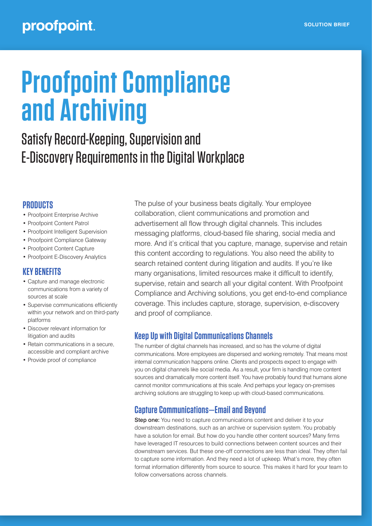# **Proofpoint Compliance and Archiving**

# Satisfy Record-Keeping, Supervision and E-Discovery Requirements in the Digital Workplace

# **PRODUCTS**

- Proofpoint Enterprise Archive
- Proofpoint Content Patrol
- Proofpoint Intelligent Supervision
- Proofpoint Compliance Gateway
- Proofpoint Content Capture
- Proofpoint E-Discovery Analytics

# **KEY BENEFITS**

- Capture and manage electronic communications from a variety of sources at scale
- Supervise communications efficiently within your network and on third-party platforms
- Discover relevant information for litigation and audits
- Retain communications in a secure, accessible and compliant archive
- Provide proof of compliance

The pulse of your business beats digitally. Your employee collaboration, client communications and promotion and advertisement all flow through digital channels. This includes messaging platforms, cloud-based file sharing, social media and more. And it's critical that you capture, manage, supervise and retain this content according to regulations. You also need the ability to search retained content during litigation and audits. If you're like many organisations, limited resources make it difficult to identify, supervise, retain and search all your digital content. With Proofpoint Compliance and Archiving solutions, you get end-to-end compliance coverage. This includes capture, storage, supervision, e-discovery and proof of compliance.

# **Keep Up with Digital Communications Channels**

The number of digital channels has increased, and so has the volume of digital communications. More employees are dispersed and working remotely. That means most internal communication happens online. Clients and prospects expect to engage with you on digital channels like social media. As a result, your firm is handling more content sources and dramatically more content itself. You have probably found that humans alone cannot monitor communications at this scale. And perhaps your legacy on-premises archiving solutions are struggling to keep up with cloud-based communications.

# **Capture Communications—Email and Beyond**

Step one: You need to capture communications content and deliver it to your downstream destinations, such as an archive or supervision system. You probably have a solution for email. But how do you handle other content sources? Many firms have leveraged IT resources to build connections between content sources and their downstream services. But these one-off connections are less than ideal. They often fail to capture some information. And they need a lot of upkeep. What's more, they often format information differently from source to source. This makes it hard for your team to follow conversations across channels.